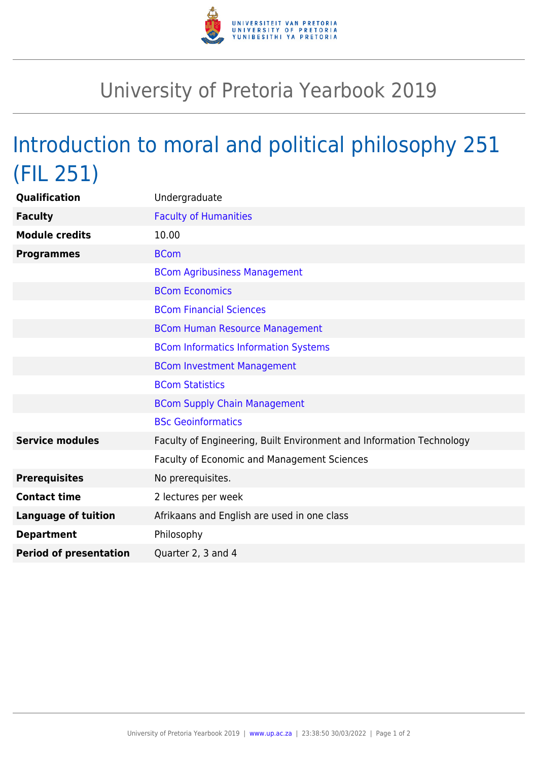

## University of Pretoria Yearbook 2019

## Introduction to moral and political philosophy 251 (FIL 251)

| <b>Qualification</b>          | Undergraduate                                                        |
|-------------------------------|----------------------------------------------------------------------|
| <b>Faculty</b>                | <b>Faculty of Humanities</b>                                         |
| <b>Module credits</b>         | 10.00                                                                |
| <b>Programmes</b>             | <b>BCom</b>                                                          |
|                               | <b>BCom Agribusiness Management</b>                                  |
|                               | <b>BCom Economics</b>                                                |
|                               | <b>BCom Financial Sciences</b>                                       |
|                               | <b>BCom Human Resource Management</b>                                |
|                               | <b>BCom Informatics Information Systems</b>                          |
|                               | <b>BCom Investment Management</b>                                    |
|                               | <b>BCom Statistics</b>                                               |
|                               | <b>BCom Supply Chain Management</b>                                  |
|                               | <b>BSc Geoinformatics</b>                                            |
| <b>Service modules</b>        | Faculty of Engineering, Built Environment and Information Technology |
|                               | Faculty of Economic and Management Sciences                          |
| <b>Prerequisites</b>          | No prerequisites.                                                    |
| <b>Contact time</b>           | 2 lectures per week                                                  |
| <b>Language of tuition</b>    | Afrikaans and English are used in one class                          |
| <b>Department</b>             | Philosophy                                                           |
| <b>Period of presentation</b> | Quarter 2, 3 and 4                                                   |